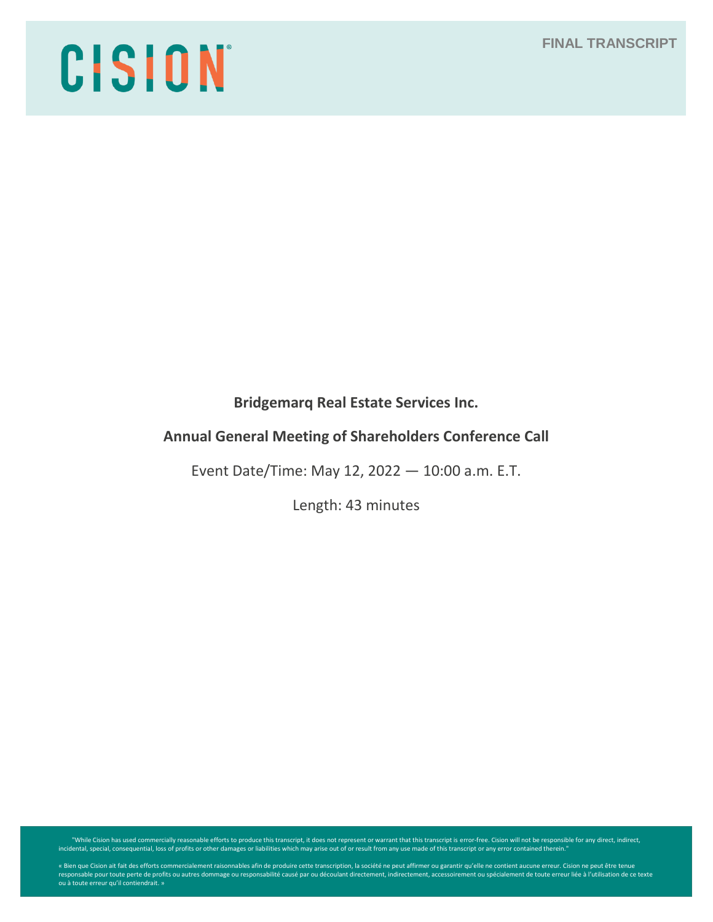# CISION

**Bridgemarq Real Estate Services Inc.**

# **Annual General Meeting of Shareholders Conference Call**

Event Date/Time: May 12, 2022 — 10:00 a.m. E.T.

Length: 43 minutes

While Cision has used commercially reasonable efforts to produce this transcript, it does not represent or warrant that this transcript is error-free. Cision will not be responsible for any direct, indirect, indirect, indi

« Bien que Cision ait fait des efforts commercialement raisonnables afin de produire cette transcription, la société ne peut affirmer ou garantir qu'elle ne contient aucune erreur. Cision ne peut être tenue<br>responsable pou ou à toute erreur qu'il contiendrait. »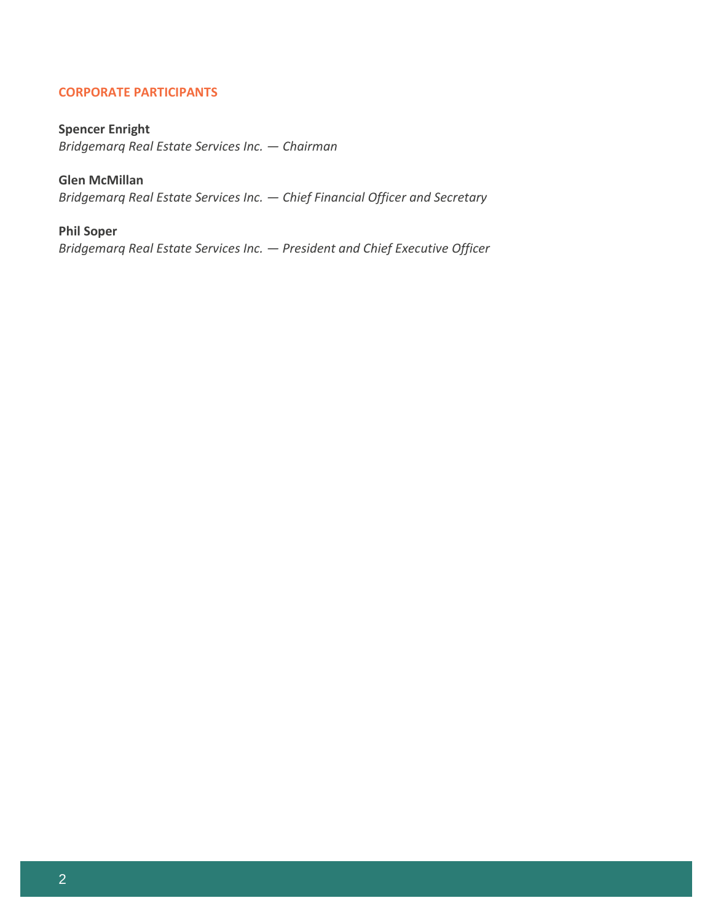# **CORPORATE PARTICIPANTS**

# **Spencer Enright**

*Bridgemarq Real Estate Services Inc. — Chairman*

# **Glen McMillan**

*Bridgemarq Real Estate Services Inc. — Chief Financial Officer and Secretary*

# **Phil Soper**

*Bridgemarq Real Estate Services Inc. — President and Chief Executive Officer*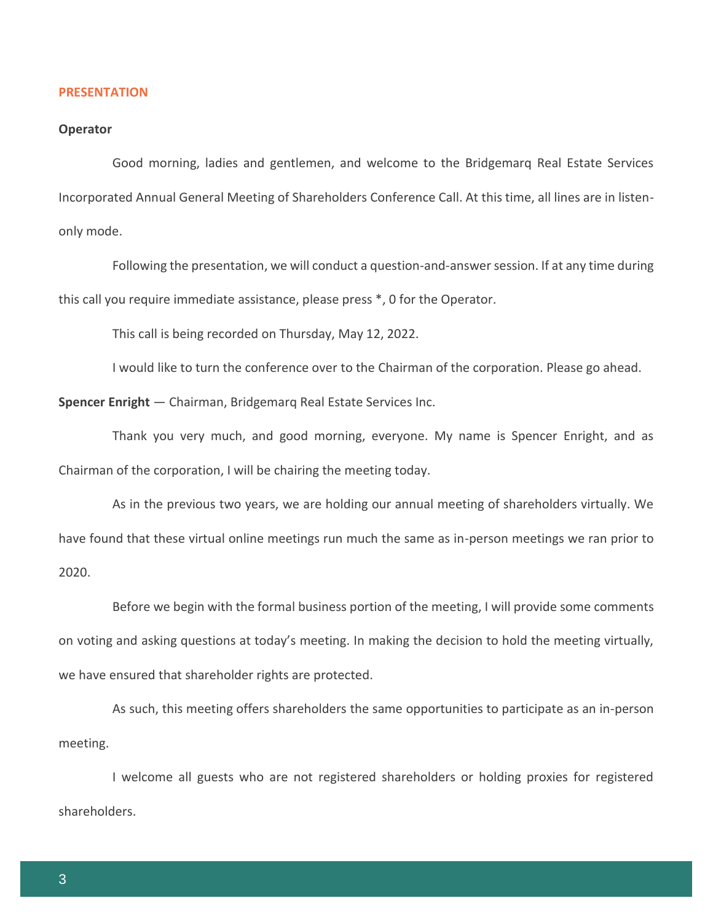#### **PRESENTATION**

#### **Operator**

Good morning, ladies and gentlemen, and welcome to the Bridgemarq Real Estate Services Incorporated Annual General Meeting of Shareholders Conference Call. At this time, all lines are in listenonly mode.

Following the presentation, we will conduct a question-and-answer session. If at any time during this call you require immediate assistance, please press \*, 0 for the Operator.

This call is being recorded on Thursday, May 12, 2022.

I would like to turn the conference over to the Chairman of the corporation. Please go ahead.

**Spencer Enright** — Chairman, Bridgemarq Real Estate Services Inc.

Thank you very much, and good morning, everyone. My name is Spencer Enright, and as Chairman of the corporation, I will be chairing the meeting today.

As in the previous two years, we are holding our annual meeting of shareholders virtually. We have found that these virtual online meetings run much the same as in-person meetings we ran prior to 2020.

Before we begin with the formal business portion of the meeting, I will provide some comments on voting and asking questions at today's meeting. In making the decision to hold the meeting virtually, we have ensured that shareholder rights are protected.

As such, this meeting offers shareholders the same opportunities to participate as an in-person meeting.

I welcome all guests who are not registered shareholders or holding proxies for registered shareholders.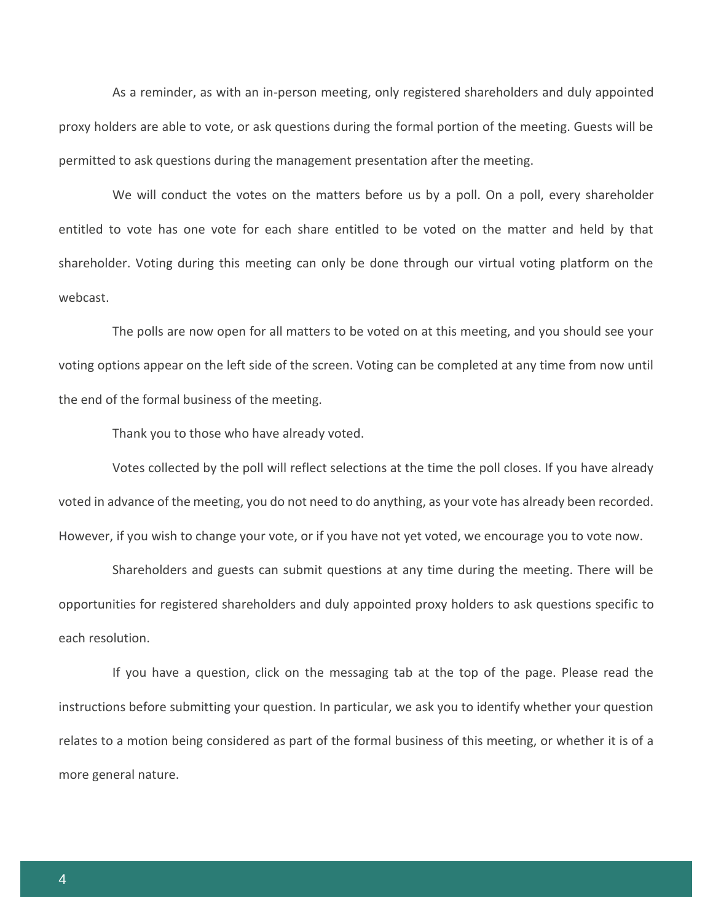As a reminder, as with an in-person meeting, only registered shareholders and duly appointed proxy holders are able to vote, or ask questions during the formal portion of the meeting. Guests will be permitted to ask questions during the management presentation after the meeting.

We will conduct the votes on the matters before us by a poll. On a poll, every shareholder entitled to vote has one vote for each share entitled to be voted on the matter and held by that shareholder. Voting during this meeting can only be done through our virtual voting platform on the webcast.

The polls are now open for all matters to be voted on at this meeting, and you should see your voting options appear on the left side of the screen. Voting can be completed at any time from now until the end of the formal business of the meeting.

Thank you to those who have already voted.

Votes collected by the poll will reflect selections at the time the poll closes. If you have already voted in advance of the meeting, you do not need to do anything, as your vote has already been recorded. However, if you wish to change your vote, or if you have not yet voted, we encourage you to vote now.

Shareholders and guests can submit questions at any time during the meeting. There will be opportunities for registered shareholders and duly appointed proxy holders to ask questions specific to each resolution.

If you have a question, click on the messaging tab at the top of the page. Please read the instructions before submitting your question. In particular, we ask you to identify whether your question relates to a motion being considered as part of the formal business of this meeting, or whether it is of a more general nature.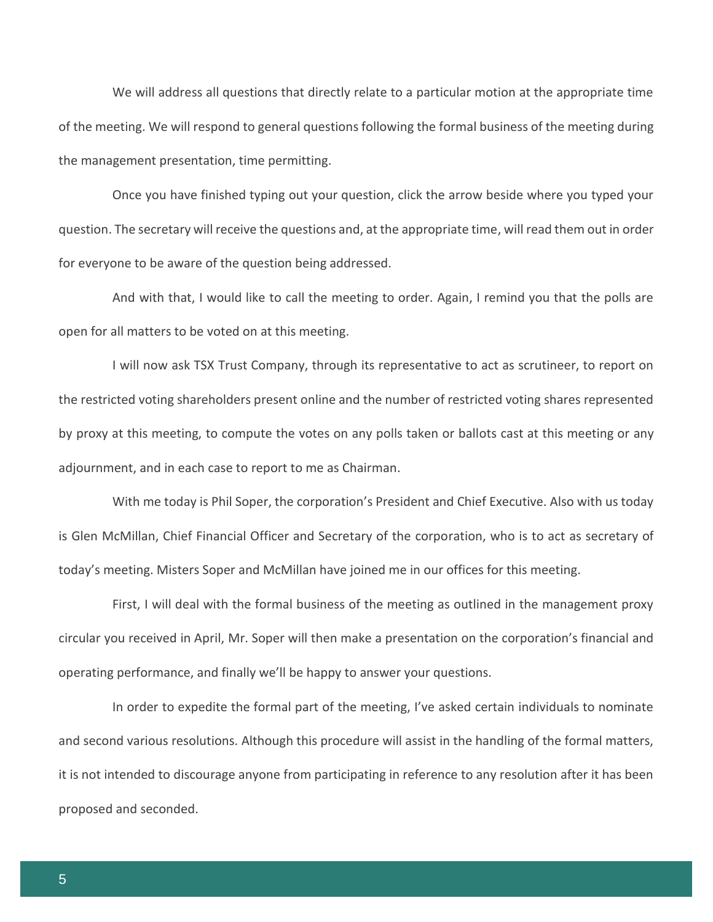We will address all questions that directly relate to a particular motion at the appropriate time of the meeting. We will respond to general questions following the formal business of the meeting during the management presentation, time permitting.

Once you have finished typing out your question, click the arrow beside where you typed your question. The secretary will receive the questions and, at the appropriate time, will read them out in order for everyone to be aware of the question being addressed.

And with that, I would like to call the meeting to order. Again, I remind you that the polls are open for all matters to be voted on at this meeting.

I will now ask TSX Trust Company, through its representative to act as scrutineer, to report on the restricted voting shareholders present online and the number of restricted voting shares represented by proxy at this meeting, to compute the votes on any polls taken or ballots cast at this meeting or any adjournment, and in each case to report to me as Chairman.

With me today is Phil Soper, the corporation's President and Chief Executive. Also with us today is Glen McMillan, Chief Financial Officer and Secretary of the corporation, who is to act as secretary of today's meeting. Misters Soper and McMillan have joined me in our offices for this meeting.

First, I will deal with the formal business of the meeting as outlined in the management proxy circular you received in April, Mr. Soper will then make a presentation on the corporation's financial and operating performance, and finally we'll be happy to answer your questions.

In order to expedite the formal part of the meeting, I've asked certain individuals to nominate and second various resolutions. Although this procedure will assist in the handling of the formal matters, it is not intended to discourage anyone from participating in reference to any resolution after it has been proposed and seconded.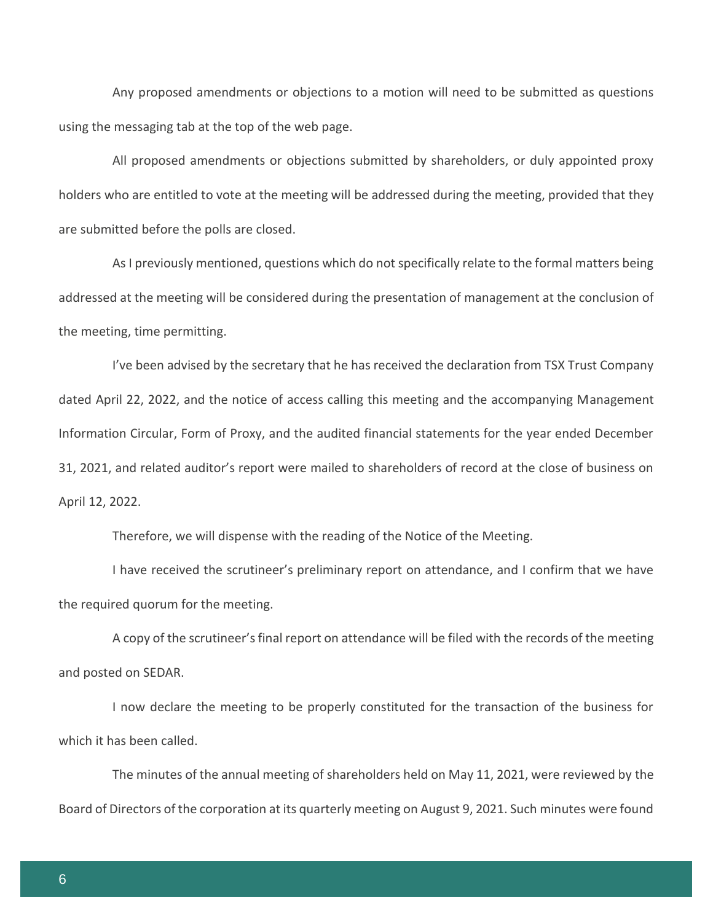Any proposed amendments or objections to a motion will need to be submitted as questions using the messaging tab at the top of the web page.

All proposed amendments or objections submitted by shareholders, or duly appointed proxy holders who are entitled to vote at the meeting will be addressed during the meeting, provided that they are submitted before the polls are closed.

As I previously mentioned, questions which do not specifically relate to the formal matters being addressed at the meeting will be considered during the presentation of management at the conclusion of the meeting, time permitting.

I've been advised by the secretary that he has received the declaration from TSX Trust Company dated April 22, 2022, and the notice of access calling this meeting and the accompanying Management Information Circular, Form of Proxy, and the audited financial statements for the year ended December 31, 2021, and related auditor's report were mailed to shareholders of record at the close of business on April 12, 2022.

Therefore, we will dispense with the reading of the Notice of the Meeting.

I have received the scrutineer's preliminary report on attendance, and I confirm that we have the required quorum for the meeting.

A copy of the scrutineer's final report on attendance will be filed with the records of the meeting and posted on SEDAR.

I now declare the meeting to be properly constituted for the transaction of the business for which it has been called.

The minutes of the annual meeting of shareholders held on May 11, 2021, were reviewed by the Board of Directors of the corporation at its quarterly meeting on August 9, 2021. Such minutes were found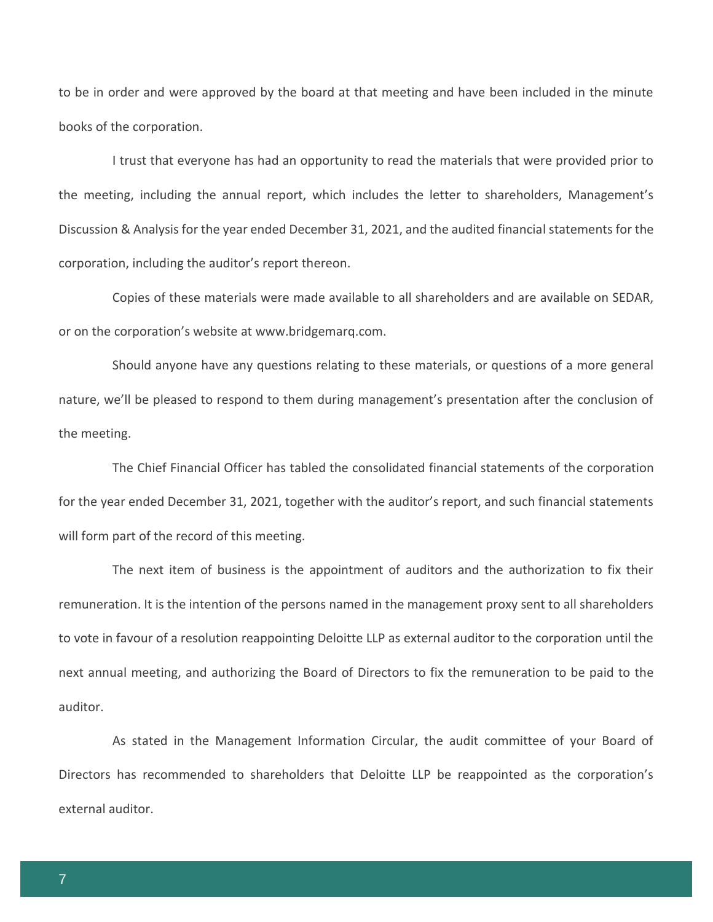to be in order and were approved by the board at that meeting and have been included in the minute books of the corporation.

I trust that everyone has had an opportunity to read the materials that were provided prior to the meeting, including the annual report, which includes the letter to shareholders, Management's Discussion & Analysis for the year ended December 31, 2021, and the audited financial statements for the corporation, including the auditor's report thereon.

Copies of these materials were made available to all shareholders and are available on SEDAR, or on the corporation's website at www.bridgemarq.com.

Should anyone have any questions relating to these materials, or questions of a more general nature, we'll be pleased to respond to them during management's presentation after the conclusion of the meeting.

The Chief Financial Officer has tabled the consolidated financial statements of the corporation for the year ended December 31, 2021, together with the auditor's report, and such financial statements will form part of the record of this meeting.

The next item of business is the appointment of auditors and the authorization to fix their remuneration. It is the intention of the persons named in the management proxy sent to all shareholders to vote in favour of a resolution reappointing Deloitte LLP as external auditor to the corporation until the next annual meeting, and authorizing the Board of Directors to fix the remuneration to be paid to the auditor.

As stated in the Management Information Circular, the audit committee of your Board of Directors has recommended to shareholders that Deloitte LLP be reappointed as the corporation's external auditor.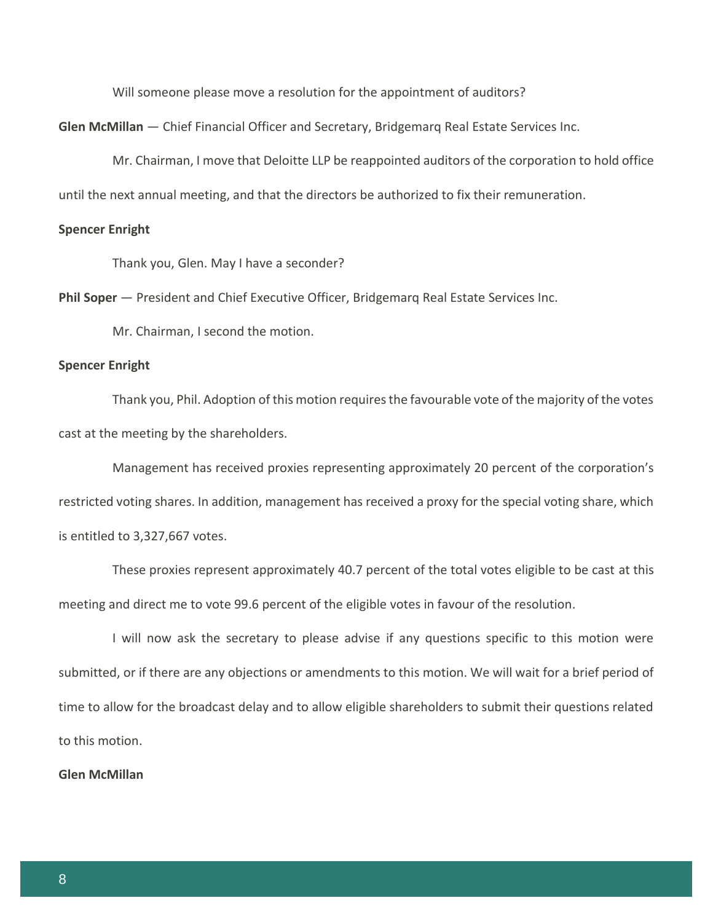Will someone please move a resolution for the appointment of auditors?

**Glen McMillan** — Chief Financial Officer and Secretary, Bridgemarq Real Estate Services Inc.

Mr. Chairman, I move that Deloitte LLP be reappointed auditors of the corporation to hold office until the next annual meeting, and that the directors be authorized to fix their remuneration.

#### **Spencer Enright**

Thank you, Glen. May I have a seconder?

**Phil Soper** — President and Chief Executive Officer, Bridgemarq Real Estate Services Inc.

Mr. Chairman, I second the motion.

#### **Spencer Enright**

Thank you, Phil. Adoption of this motion requires the favourable vote of the majority of the votes cast at the meeting by the shareholders.

Management has received proxies representing approximately 20 percent of the corporation's restricted voting shares. In addition, management has received a proxy for the special voting share, which is entitled to 3,327,667 votes.

These proxies represent approximately 40.7 percent of the total votes eligible to be cast at this meeting and direct me to vote 99.6 percent of the eligible votes in favour of the resolution.

I will now ask the secretary to please advise if any questions specific to this motion were submitted, or if there are any objections or amendments to this motion. We will wait for a brief period of time to allow for the broadcast delay and to allow eligible shareholders to submit their questions related to this motion.

#### **Glen McMillan**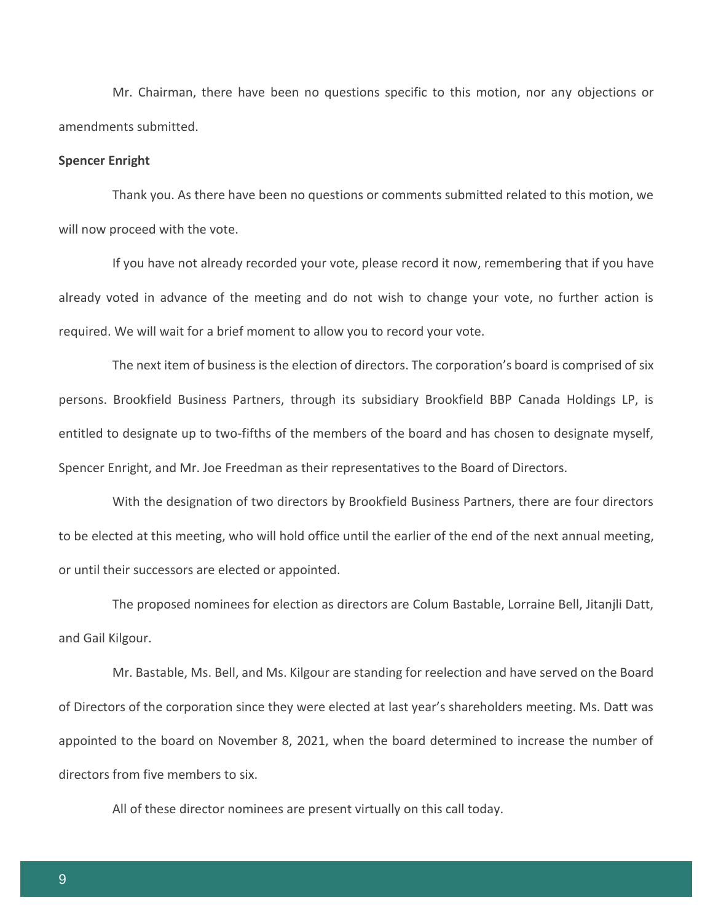Mr. Chairman, there have been no questions specific to this motion, nor any objections or amendments submitted.

#### **Spencer Enright**

Thank you. As there have been no questions or comments submitted related to this motion, we will now proceed with the vote.

If you have not already recorded your vote, please record it now, remembering that if you have already voted in advance of the meeting and do not wish to change your vote, no further action is required. We will wait for a brief moment to allow you to record your vote.

The next item of business is the election of directors. The corporation's board is comprised of six persons. Brookfield Business Partners, through its subsidiary Brookfield BBP Canada Holdings LP, is entitled to designate up to two-fifths of the members of the board and has chosen to designate myself, Spencer Enright, and Mr. Joe Freedman as their representatives to the Board of Directors.

With the designation of two directors by Brookfield Business Partners, there are four directors to be elected at this meeting, who will hold office until the earlier of the end of the next annual meeting, or until their successors are elected or appointed.

The proposed nominees for election as directors are Colum Bastable, Lorraine Bell, Jitanjli Datt, and Gail Kilgour.

Mr. Bastable, Ms. Bell, and Ms. Kilgour are standing for reelection and have served on the Board of Directors of the corporation since they were elected at last year's shareholders meeting. Ms. Datt was appointed to the board on November 8, 2021, when the board determined to increase the number of directors from five members to six.

All of these director nominees are present virtually on this call today.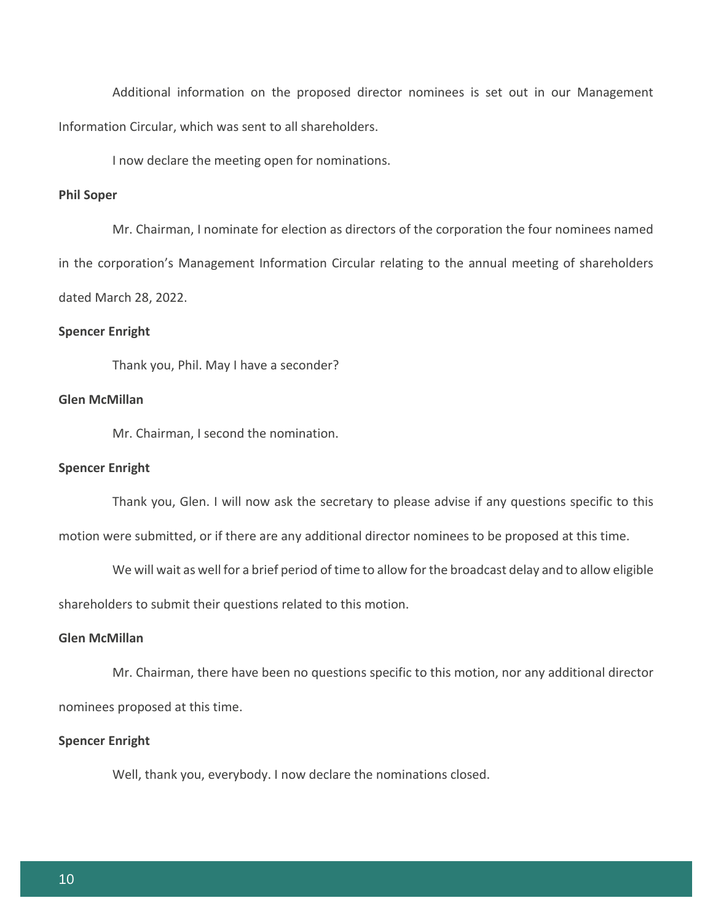Additional information on the proposed director nominees is set out in our Management Information Circular, which was sent to all shareholders.

I now declare the meeting open for nominations.

### **Phil Soper**

Mr. Chairman, I nominate for election as directors of the corporation the four nominees named in the corporation's Management Information Circular relating to the annual meeting of shareholders dated March 28, 2022.

#### **Spencer Enright**

Thank you, Phil. May I have a seconder?

# **Glen McMillan**

Mr. Chairman, I second the nomination.

#### **Spencer Enright**

Thank you, Glen. I will now ask the secretary to please advise if any questions specific to this motion were submitted, or if there are any additional director nominees to be proposed at this time.

We will wait as well for a brief period of time to allow for the broadcast delay and to allow eligible shareholders to submit their questions related to this motion.

#### **Glen McMillan**

Mr. Chairman, there have been no questions specific to this motion, nor any additional director nominees proposed at this time.

#### **Spencer Enright**

Well, thank you, everybody. I now declare the nominations closed.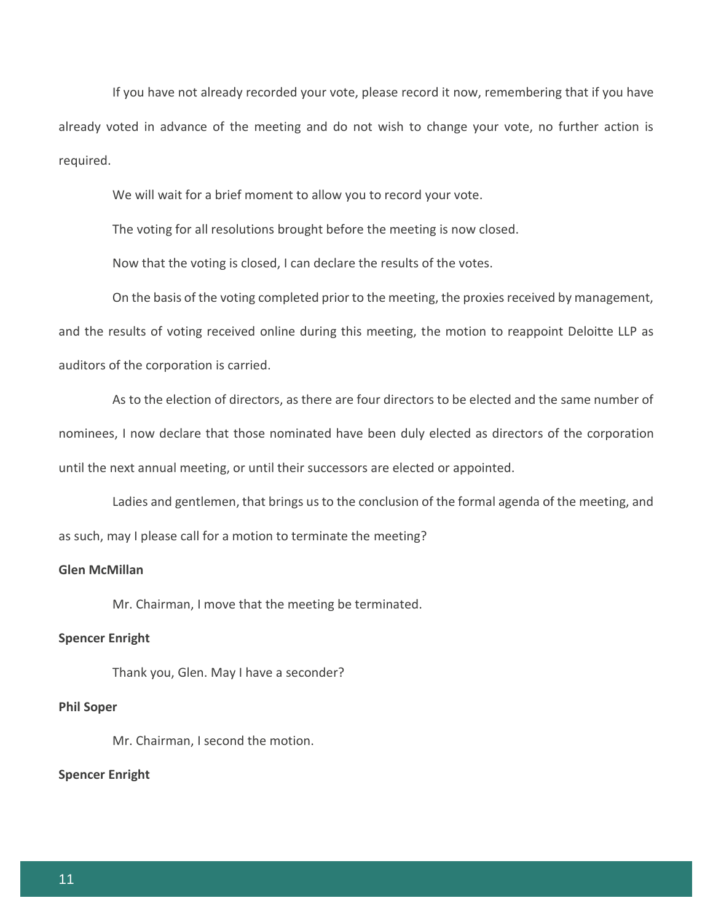If you have not already recorded your vote, please record it now, remembering that if you have already voted in advance of the meeting and do not wish to change your vote, no further action is required.

We will wait for a brief moment to allow you to record your vote.

The voting for all resolutions brought before the meeting is now closed.

Now that the voting is closed, I can declare the results of the votes.

On the basis of the voting completed prior to the meeting, the proxies received by management, and the results of voting received online during this meeting, the motion to reappoint Deloitte LLP as auditors of the corporation is carried.

As to the election of directors, as there are four directors to be elected and the same number of nominees, I now declare that those nominated have been duly elected as directors of the corporation until the next annual meeting, or until their successors are elected or appointed.

Ladies and gentlemen, that brings us to the conclusion of the formal agenda of the meeting, and as such, may I please call for a motion to terminate the meeting?

# **Glen McMillan**

Mr. Chairman, I move that the meeting be terminated.

## **Spencer Enright**

Thank you, Glen. May I have a seconder?

#### **Phil Soper**

Mr. Chairman, I second the motion.

#### **Spencer Enright**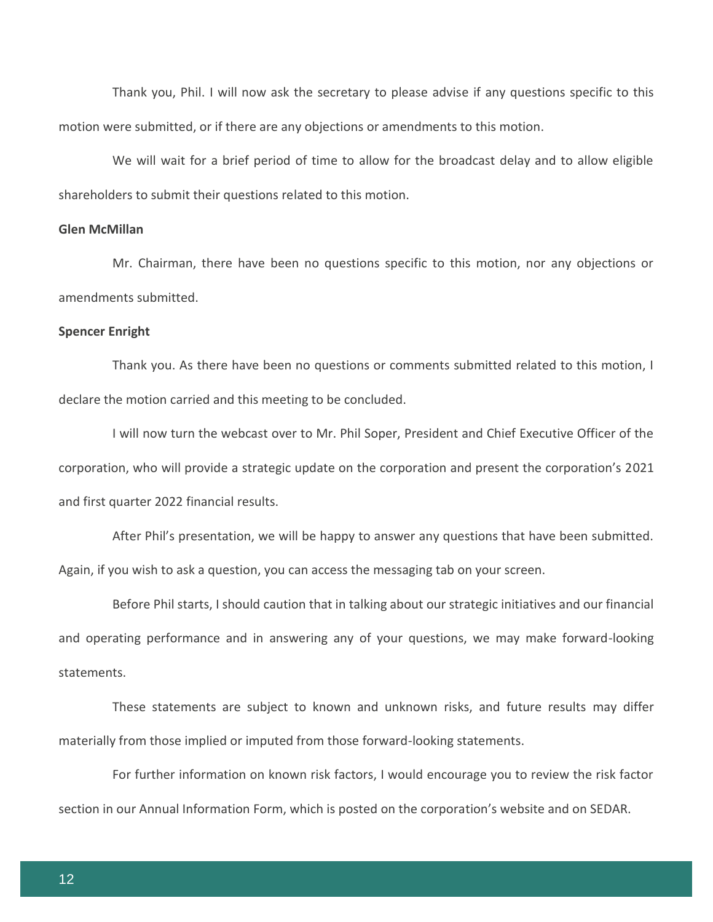Thank you, Phil. I will now ask the secretary to please advise if any questions specific to this motion were submitted, or if there are any objections or amendments to this motion.

We will wait for a brief period of time to allow for the broadcast delay and to allow eligible shareholders to submit their questions related to this motion.

#### **Glen McMillan**

Mr. Chairman, there have been no questions specific to this motion, nor any objections or amendments submitted.

#### **Spencer Enright**

Thank you. As there have been no questions or comments submitted related to this motion, I declare the motion carried and this meeting to be concluded.

I will now turn the webcast over to Mr. Phil Soper, President and Chief Executive Officer of the corporation, who will provide a strategic update on the corporation and present the corporation's 2021 and first quarter 2022 financial results.

After Phil's presentation, we will be happy to answer any questions that have been submitted. Again, if you wish to ask a question, you can access the messaging tab on your screen.

Before Phil starts, I should caution that in talking about our strategic initiatives and our financial and operating performance and in answering any of your questions, we may make forward-looking statements.

These statements are subject to known and unknown risks, and future results may differ materially from those implied or imputed from those forward-looking statements.

For further information on known risk factors, I would encourage you to review the risk factor section in our Annual Information Form, which is posted on the corporation's website and on SEDAR.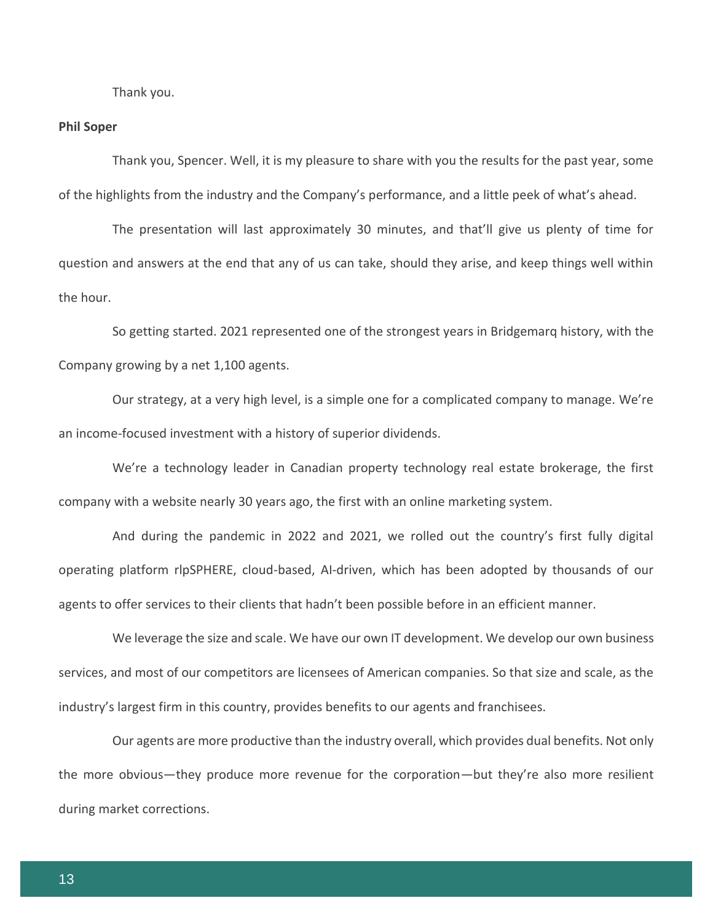Thank you.

#### **Phil Soper**

Thank you, Spencer. Well, it is my pleasure to share with you the results for the past year, some of the highlights from the industry and the Company's performance, and a little peek of what's ahead.

The presentation will last approximately 30 minutes, and that'll give us plenty of time for question and answers at the end that any of us can take, should they arise, and keep things well within the hour.

So getting started. 2021 represented one of the strongest years in Bridgemarq history, with the Company growing by a net 1,100 agents.

Our strategy, at a very high level, is a simple one for a complicated company to manage. We're an income-focused investment with a history of superior dividends.

We're a technology leader in Canadian property technology real estate brokerage, the first company with a website nearly 30 years ago, the first with an online marketing system.

And during the pandemic in 2022 and 2021, we rolled out the country's first fully digital operating platform rlpSPHERE, cloud-based, AI-driven, which has been adopted by thousands of our agents to offer services to their clients that hadn't been possible before in an efficient manner.

We leverage the size and scale. We have our own IT development. We develop our own business services, and most of our competitors are licensees of American companies. So that size and scale, as the industry's largest firm in this country, provides benefits to our agents and franchisees.

Our agents are more productive than the industry overall, which provides dual benefits. Not only the more obvious—they produce more revenue for the corporation—but they're also more resilient during market corrections.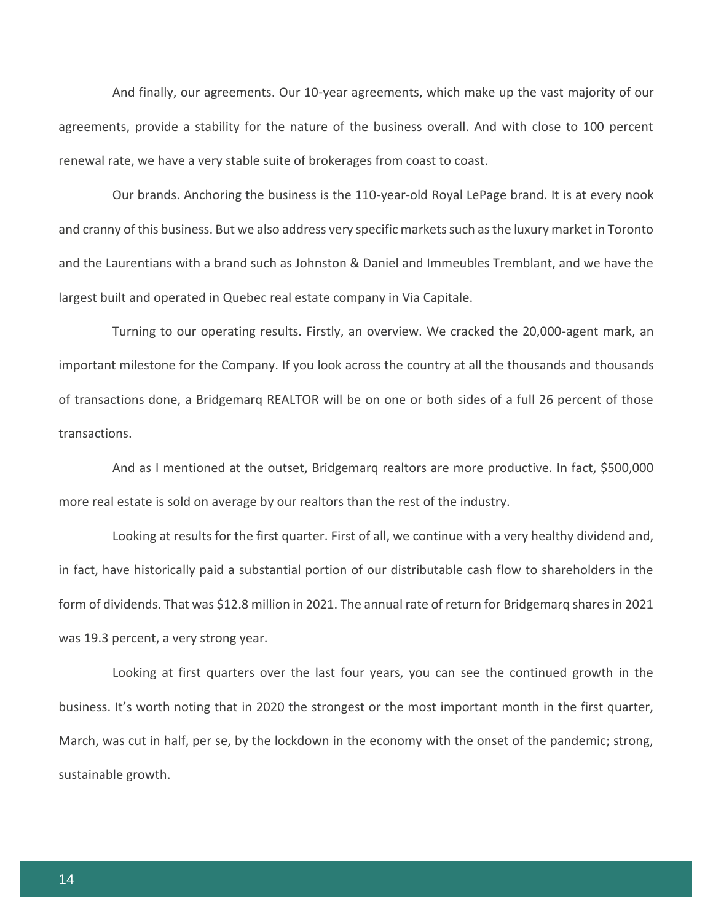And finally, our agreements. Our 10-year agreements, which make up the vast majority of our agreements, provide a stability for the nature of the business overall. And with close to 100 percent renewal rate, we have a very stable suite of brokerages from coast to coast.

Our brands. Anchoring the business is the 110-year-old Royal LePage brand. It is at every nook and cranny of this business. But we also address very specific markets such as the luxury market in Toronto and the Laurentians with a brand such as Johnston & Daniel and Immeubles Tremblant, and we have the largest built and operated in Quebec real estate company in Via Capitale.

Turning to our operating results. Firstly, an overview. We cracked the 20,000-agent mark, an important milestone for the Company. If you look across the country at all the thousands and thousands of transactions done, a Bridgemarq REALTOR will be on one or both sides of a full 26 percent of those transactions.

And as I mentioned at the outset, Bridgemarq realtors are more productive. In fact, \$500,000 more real estate is sold on average by our realtors than the rest of the industry.

Looking at results for the first quarter. First of all, we continue with a very healthy dividend and, in fact, have historically paid a substantial portion of our distributable cash flow to shareholders in the form of dividends. That was \$12.8 million in 2021. The annual rate of return for Bridgemarq shares in 2021 was 19.3 percent, a very strong year.

Looking at first quarters over the last four years, you can see the continued growth in the business. It's worth noting that in 2020 the strongest or the most important month in the first quarter, March, was cut in half, per se, by the lockdown in the economy with the onset of the pandemic; strong, sustainable growth.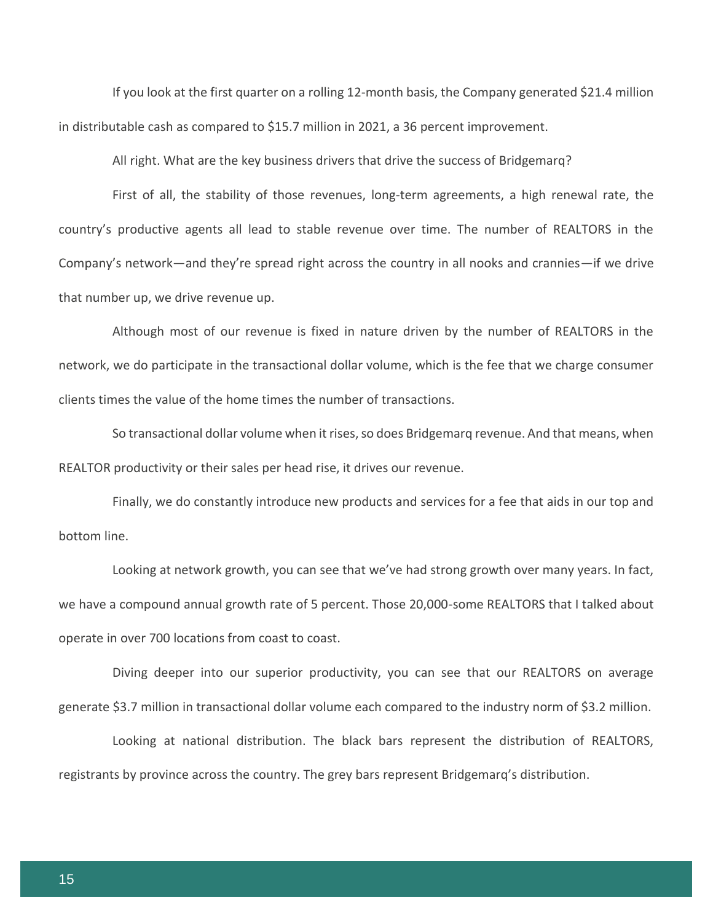If you look at the first quarter on a rolling 12-month basis, the Company generated \$21.4 million in distributable cash as compared to \$15.7 million in 2021, a 36 percent improvement.

All right. What are the key business drivers that drive the success of Bridgemarq?

First of all, the stability of those revenues, long-term agreements, a high renewal rate, the country's productive agents all lead to stable revenue over time. The number of REALTORS in the Company's network—and they're spread right across the country in all nooks and crannies—if we drive that number up, we drive revenue up.

Although most of our revenue is fixed in nature driven by the number of REALTORS in the network, we do participate in the transactional dollar volume, which is the fee that we charge consumer clients times the value of the home times the number of transactions.

So transactional dollar volume when it rises, so does Bridgemarq revenue. And that means, when REALTOR productivity or their sales per head rise, it drives our revenue.

Finally, we do constantly introduce new products and services for a fee that aids in our top and bottom line.

Looking at network growth, you can see that we've had strong growth over many years. In fact, we have a compound annual growth rate of 5 percent. Those 20,000-some REALTORS that I talked about operate in over 700 locations from coast to coast.

Diving deeper into our superior productivity, you can see that our REALTORS on average generate \$3.7 million in transactional dollar volume each compared to the industry norm of \$3.2 million.

Looking at national distribution. The black bars represent the distribution of REALTORS, registrants by province across the country. The grey bars represent Bridgemarq's distribution.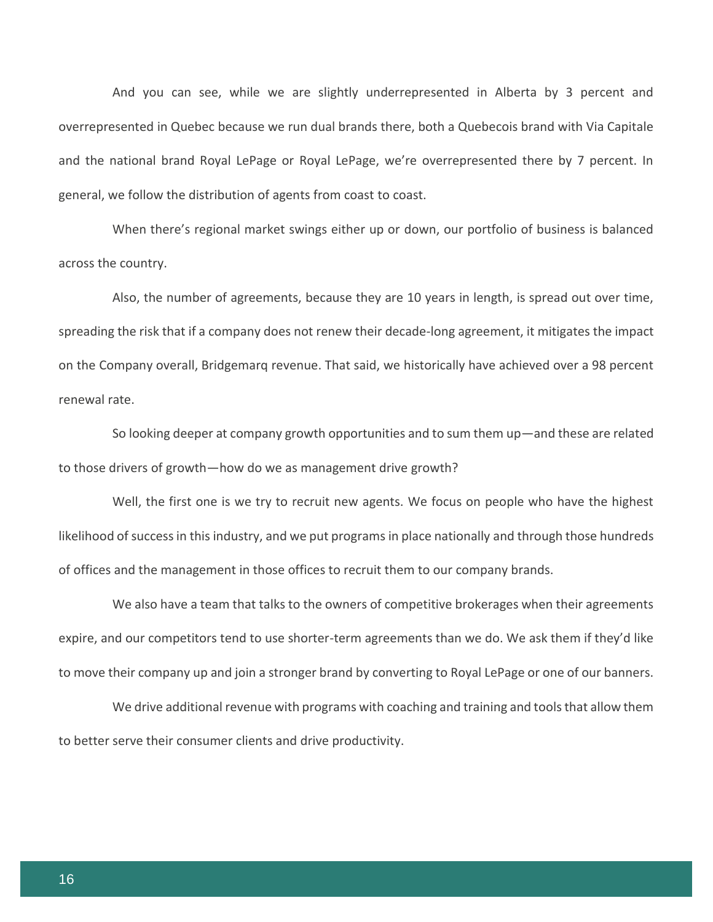And you can see, while we are slightly underrepresented in Alberta by 3 percent and overrepresented in Quebec because we run dual brands there, both a Quebecois brand with Via Capitale and the national brand Royal LePage or Royal LePage, we're overrepresented there by 7 percent. In general, we follow the distribution of agents from coast to coast.

When there's regional market swings either up or down, our portfolio of business is balanced across the country.

Also, the number of agreements, because they are 10 years in length, is spread out over time, spreading the risk that if a company does not renew their decade-long agreement, it mitigates the impact on the Company overall, Bridgemarq revenue. That said, we historically have achieved over a 98 percent renewal rate.

So looking deeper at company growth opportunities and to sum them up—and these are related to those drivers of growth—how do we as management drive growth?

Well, the first one is we try to recruit new agents. We focus on people who have the highest likelihood of success in this industry, and we put programs in place nationally and through those hundreds of offices and the management in those offices to recruit them to our company brands.

We also have a team that talks to the owners of competitive brokerages when their agreements expire, and our competitors tend to use shorter-term agreements than we do. We ask them if they'd like to move their company up and join a stronger brand by converting to Royal LePage or one of our banners.

We drive additional revenue with programs with coaching and training and tools that allow them to better serve their consumer clients and drive productivity.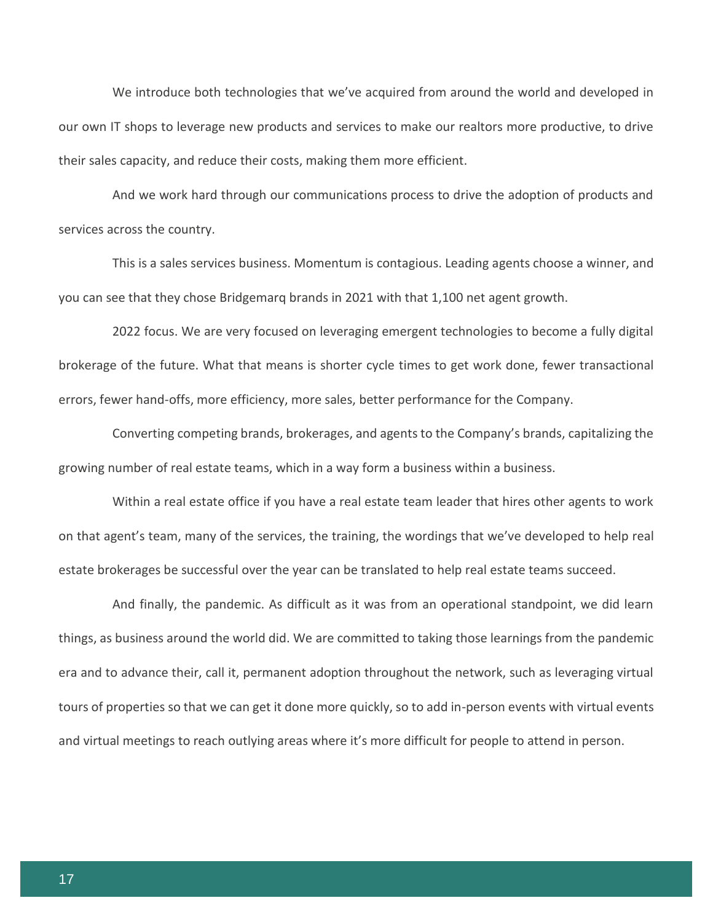We introduce both technologies that we've acquired from around the world and developed in our own IT shops to leverage new products and services to make our realtors more productive, to drive their sales capacity, and reduce their costs, making them more efficient.

And we work hard through our communications process to drive the adoption of products and services across the country.

This is a sales services business. Momentum is contagious. Leading agents choose a winner, and you can see that they chose Bridgemarq brands in 2021 with that 1,100 net agent growth.

2022 focus. We are very focused on leveraging emergent technologies to become a fully digital brokerage of the future. What that means is shorter cycle times to get work done, fewer transactional errors, fewer hand-offs, more efficiency, more sales, better performance for the Company.

Converting competing brands, brokerages, and agents to the Company's brands, capitalizing the growing number of real estate teams, which in a way form a business within a business.

Within a real estate office if you have a real estate team leader that hires other agents to work on that agent's team, many of the services, the training, the wordings that we've developed to help real estate brokerages be successful over the year can be translated to help real estate teams succeed.

And finally, the pandemic. As difficult as it was from an operational standpoint, we did learn things, as business around the world did. We are committed to taking those learnings from the pandemic era and to advance their, call it, permanent adoption throughout the network, such as leveraging virtual tours of properties so that we can get it done more quickly, so to add in-person events with virtual events and virtual meetings to reach outlying areas where it's more difficult for people to attend in person.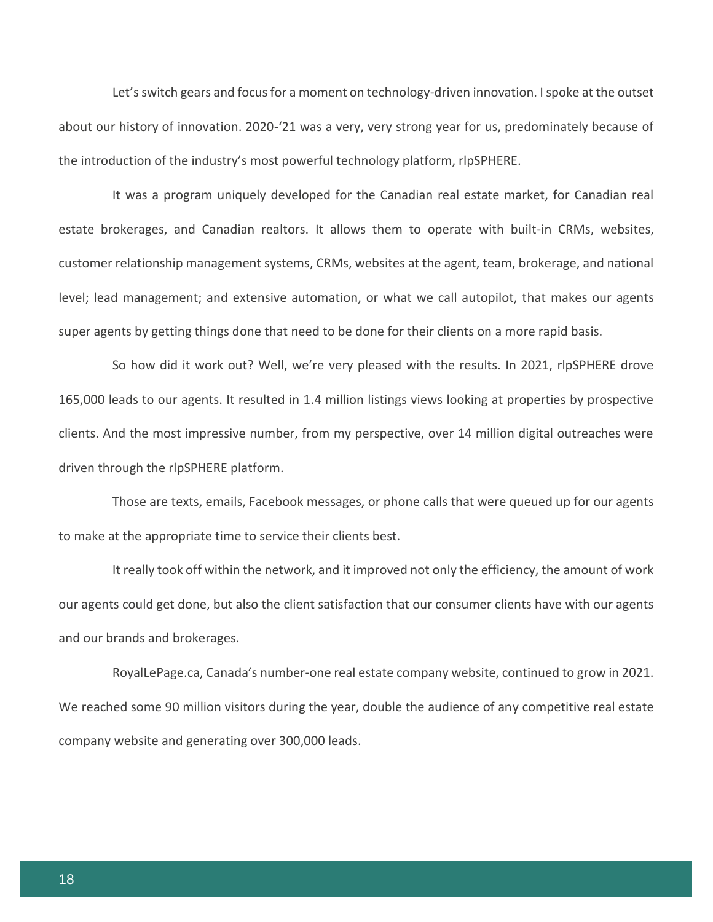Let's switch gears and focus for a moment on technology-driven innovation. I spoke at the outset about our history of innovation. 2020-'21 was a very, very strong year for us, predominately because of the introduction of the industry's most powerful technology platform, rlpSPHERE.

It was a program uniquely developed for the Canadian real estate market, for Canadian real estate brokerages, and Canadian realtors. It allows them to operate with built-in CRMs, websites, customer relationship management systems, CRMs, websites at the agent, team, brokerage, and national level; lead management; and extensive automation, or what we call autopilot, that makes our agents super agents by getting things done that need to be done for their clients on a more rapid basis.

So how did it work out? Well, we're very pleased with the results. In 2021, rlpSPHERE drove 165,000 leads to our agents. It resulted in 1.4 million listings views looking at properties by prospective clients. And the most impressive number, from my perspective, over 14 million digital outreaches were driven through the rlpSPHERE platform.

Those are texts, emails, Facebook messages, or phone calls that were queued up for our agents to make at the appropriate time to service their clients best.

It really took off within the network, and it improved not only the efficiency, the amount of work our agents could get done, but also the client satisfaction that our consumer clients have with our agents and our brands and brokerages.

RoyalLePage.ca, Canada's number-one real estate company website, continued to grow in 2021. We reached some 90 million visitors during the year, double the audience of any competitive real estate company website and generating over 300,000 leads.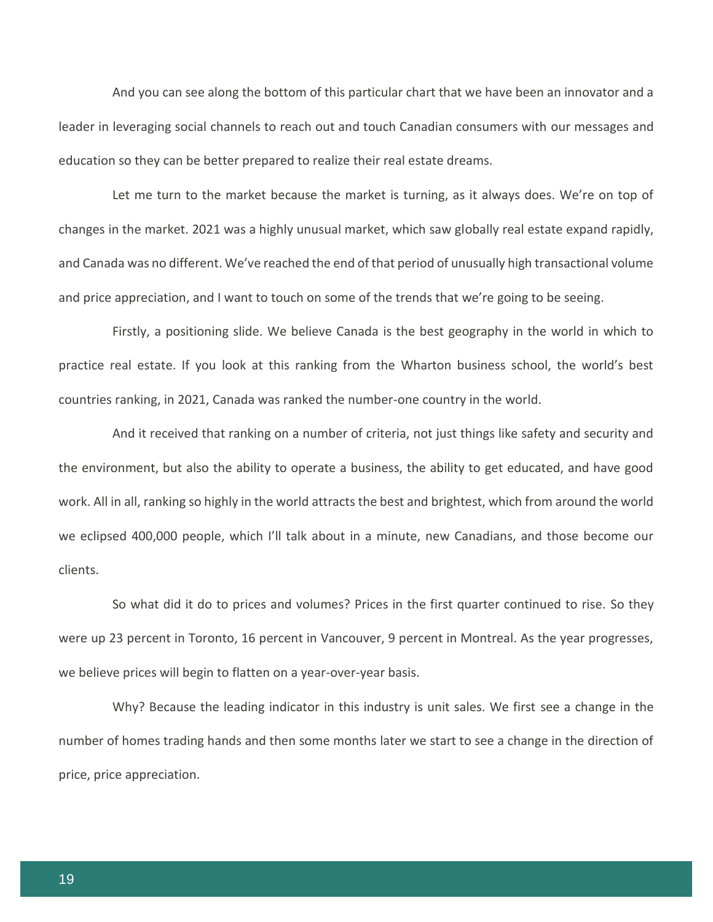And you can see along the bottom of this particular chart that we have been an innovator and a leader in leveraging social channels to reach out and touch Canadian consumers with our messages and education so they can be better prepared to realize their real estate dreams.

Let me turn to the market because the market is turning, as it always does. We're on top of changes in the market. 2021 was a highly unusual market, which saw globally real estate expand rapidly, and Canada was no different. We've reached the end of that period of unusually high transactional volume and price appreciation, and I want to touch on some of the trends that we're going to be seeing.

Firstly, a positioning slide. We believe Canada is the best geography in the world in which to practice real estate. If you look at this ranking from the Wharton business school, the world's best countries ranking, in 2021, Canada was ranked the number-one country in the world.

And it received that ranking on a number of criteria, not just things like safety and security and the environment, but also the ability to operate a business, the ability to get educated, and have good work. All in all, ranking so highly in the world attracts the best and brightest, which from around the world we eclipsed 400,000 people, which I'll talk about in a minute, new Canadians, and those become our clients.

So what did it do to prices and volumes? Prices in the first quarter continued to rise. So they were up 23 percent in Toronto, 16 percent in Vancouver, 9 percent in Montreal. As the year progresses, we believe prices will begin to flatten on a year-over-year basis.

Why? Because the leading indicator in this industry is unit sales. We first see a change in the number of homes trading hands and then some months later we start to see a change in the direction of price, price appreciation.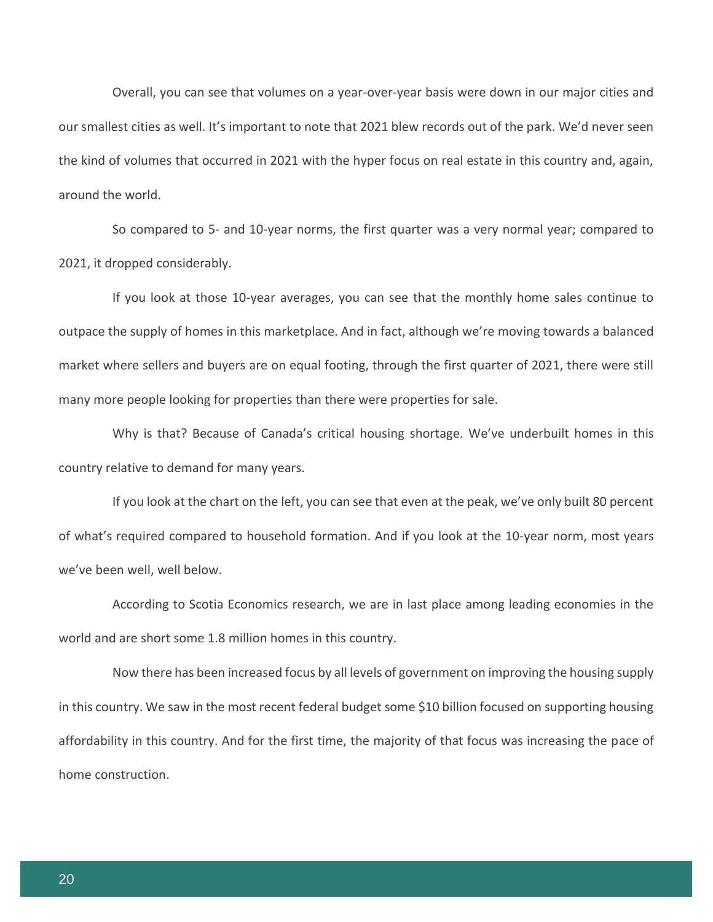Overall, you can see that volumes on a year-over-year basis were down in our major cities and our smallest cities as well. It's important to note that 2021 blew records out of the park. We'd never seen the kind of volumes that occurred in 2021 with the hyper focus on real estate in this country and, again, around the world.

So compared to 5- and 10-year norms, the first quarter was a very normal year; compared to 2021, it dropped considerably.

If you look at those 10-year averages, you can see that the monthly home sales continue to outpace the supply of homes in this marketplace. And in fact, although we're moving towards a balanced market where sellers and buyers are on equal footing, through the first quarter of 2021, there were still many more people looking for properties than there were properties for sale.

Why is that? Because of Canada's critical housing shortage. We've underbuilt homes in this country relative to demand for many years.

If you look at the chart on the left, you can see that even at the peak, we've only built 80 percent of what's required compared to household formation. And if you look at the 10-year norm, most years we've been well, well below.

According to Scotia Economics research, we are in last place among leading economies in the world and are short some 1.8 million homes in this country.

Now there has been increased focus by all levels of government on improving the housing supply in this country. We saw in the most recent federal budget some \$10 billion focused on supporting housing affordability in this country. And for the first time, the majority of that focus was increasing the pace of home construction.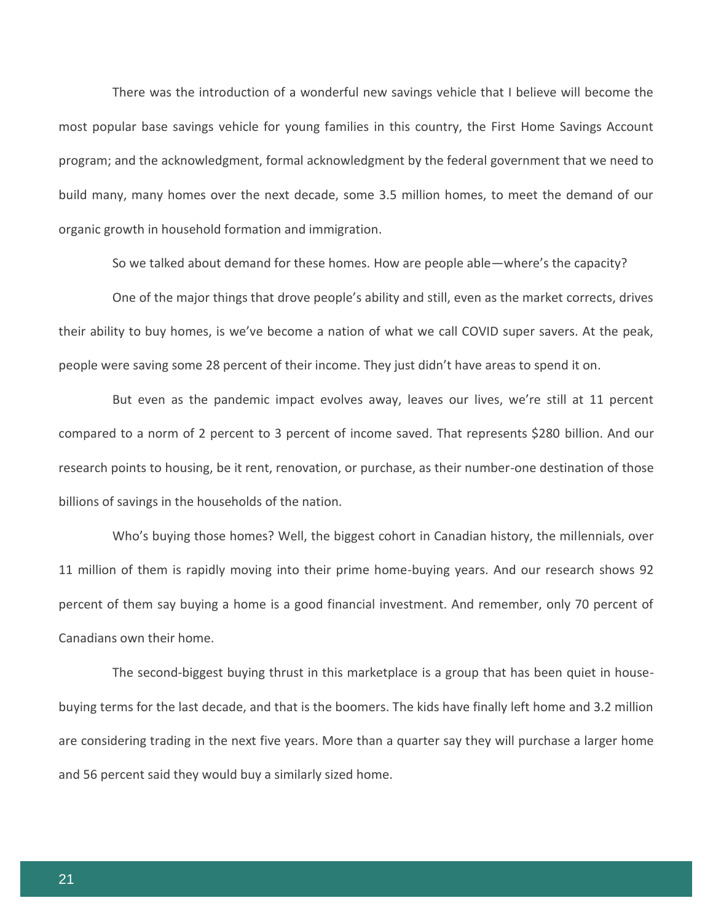There was the introduction of a wonderful new savings vehicle that I believe will become the most popular base savings vehicle for young families in this country, the First Home Savings Account program; and the acknowledgment, formal acknowledgment by the federal government that we need to build many, many homes over the next decade, some 3.5 million homes, to meet the demand of our organic growth in household formation and immigration.

So we talked about demand for these homes. How are people able—where's the capacity?

One of the major things that drove people's ability and still, even as the market corrects, drives their ability to buy homes, is we've become a nation of what we call COVID super savers. At the peak, people were saving some 28 percent of their income. They just didn't have areas to spend it on.

But even as the pandemic impact evolves away, leaves our lives, we're still at 11 percent compared to a norm of 2 percent to 3 percent of income saved. That represents \$280 billion. And our research points to housing, be it rent, renovation, or purchase, as their number-one destination of those billions of savings in the households of the nation.

Who's buying those homes? Well, the biggest cohort in Canadian history, the millennials, over 11 million of them is rapidly moving into their prime home-buying years. And our research shows 92 percent of them say buying a home is a good financial investment. And remember, only 70 percent of Canadians own their home.

The second-biggest buying thrust in this marketplace is a group that has been quiet in housebuying terms for the last decade, and that is the boomers. The kids have finally left home and 3.2 million are considering trading in the next five years. More than a quarter say they will purchase a larger home and 56 percent said they would buy a similarly sized home.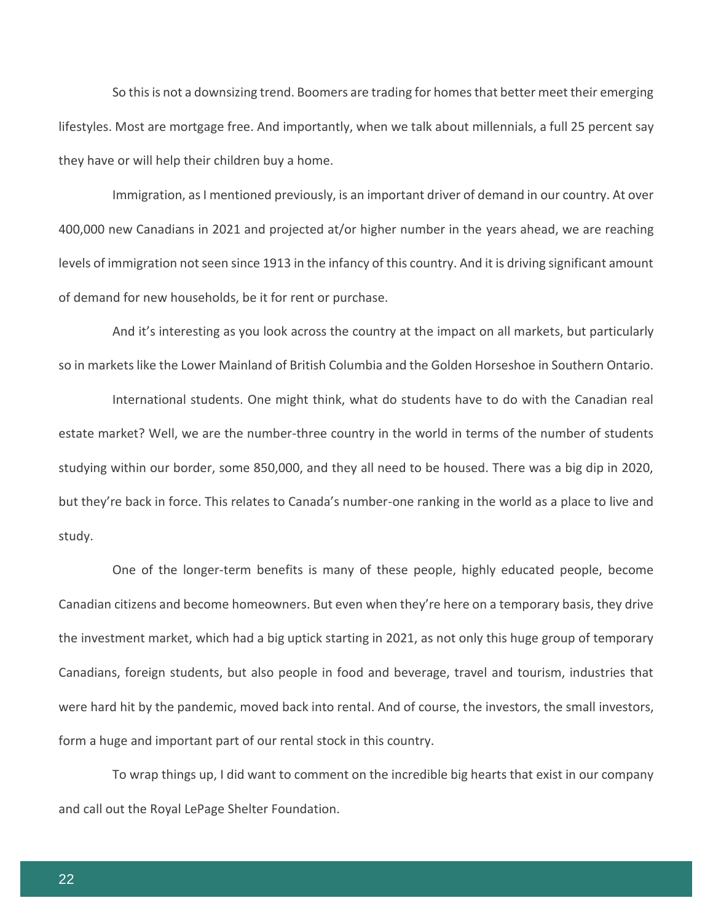So this is not a downsizing trend. Boomers are trading for homes that better meet their emerging lifestyles. Most are mortgage free. And importantly, when we talk about millennials, a full 25 percent say they have or will help their children buy a home.

Immigration, as I mentioned previously, is an important driver of demand in our country. At over 400,000 new Canadians in 2021 and projected at/or higher number in the years ahead, we are reaching levels of immigration not seen since 1913 in the infancy of this country. And it is driving significant amount of demand for new households, be it for rent or purchase.

And it's interesting as you look across the country at the impact on all markets, but particularly so in markets like the Lower Mainland of British Columbia and the Golden Horseshoe in Southern Ontario.

International students. One might think, what do students have to do with the Canadian real estate market? Well, we are the number-three country in the world in terms of the number of students studying within our border, some 850,000, and they all need to be housed. There was a big dip in 2020, but they're back in force. This relates to Canada's number-one ranking in the world as a place to live and study.

One of the longer-term benefits is many of these people, highly educated people, become Canadian citizens and become homeowners. But even when they're here on a temporary basis, they drive the investment market, which had a big uptick starting in 2021, as not only this huge group of temporary Canadians, foreign students, but also people in food and beverage, travel and tourism, industries that were hard hit by the pandemic, moved back into rental. And of course, the investors, the small investors, form a huge and important part of our rental stock in this country.

To wrap things up, I did want to comment on the incredible big hearts that exist in our company and call out the Royal LePage Shelter Foundation.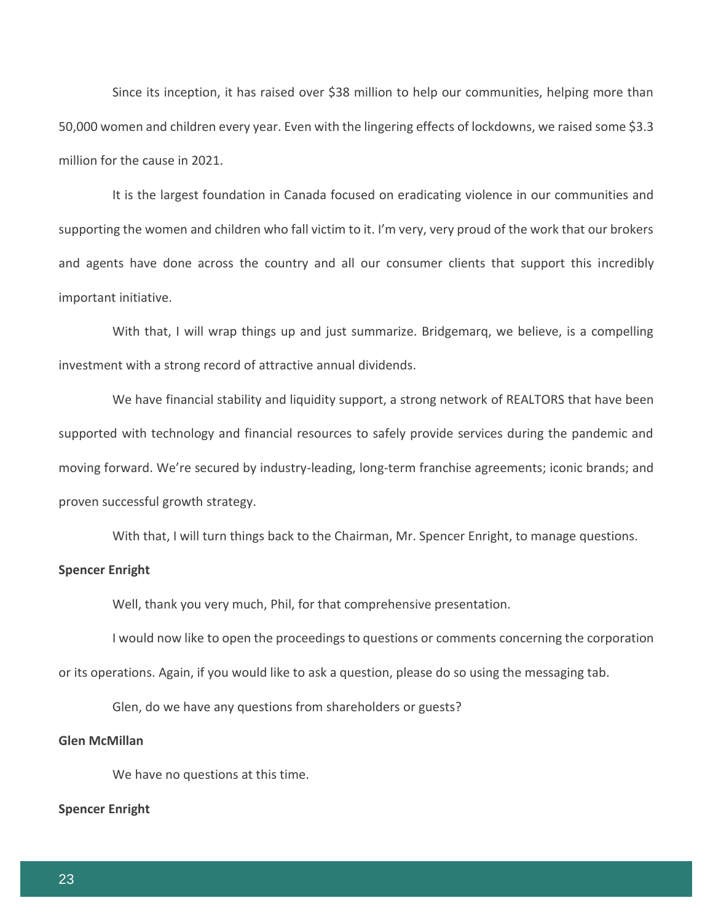Since its inception, it has raised over \$38 million to help our communities, helping more than 50,000 women and children every year. Even with the lingering effects of lockdowns, we raised some \$3.3 million for the cause in 2021.

It is the largest foundation in Canada focused on eradicating violence in our communities and supporting the women and children who fall victim to it. I'm very, very proud of the work that our brokers and agents have done across the country and all our consumer clients that support this incredibly important initiative.

With that, I will wrap things up and just summarize. Bridgemarq, we believe, is a compelling investment with a strong record of attractive annual dividends.

We have financial stability and liquidity support, a strong network of REALTORS that have been supported with technology and financial resources to safely provide services during the pandemic and moving forward. We're secured by industry-leading, long-term franchise agreements; iconic brands; and proven successful growth strategy.

With that, I will turn things back to the Chairman, Mr. Spencer Enright, to manage questions.

# **Spencer Enright**

Well, thank you very much, Phil, for that comprehensive presentation.

I would now like to open the proceedings to questions or comments concerning the corporation or its operations. Again, if you would like to ask a question, please do so using the messaging tab.

Glen, do we have any questions from shareholders or guests?

#### **Glen McMillan**

We have no questions at this time.

#### **Spencer Enright**